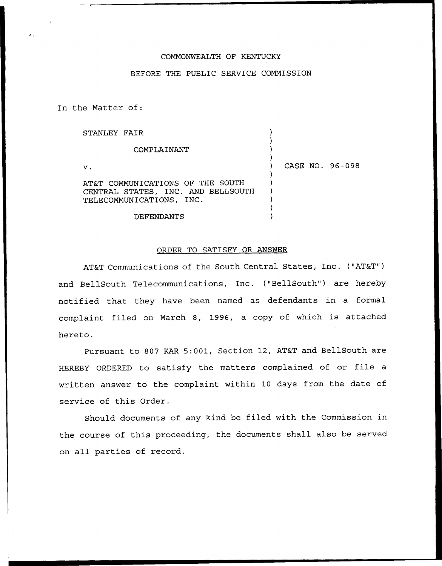## COMMONWEALTH OF KENTUCKY

## BEFORE THE PUBLIC SERVICE COMMISSION

In the Matter of:

| STANLEY FAIR                                                                                       |                 |
|----------------------------------------------------------------------------------------------------|-----------------|
| COMPLAINANT                                                                                        |                 |
| $\mathbf v$ .                                                                                      | CASE NO. 96-098 |
| AT&T COMMUNICATIONS OF THE SOUTH<br>CENTRAL STATES, INC. AND BELLSOUTH<br>TELECOMMUNICATIONS, INC. |                 |
| DEFENDANTS                                                                                         |                 |

## ORDER TO SATISFY OR ANSWER

AT&T Communications of the South Central States, Inc. ("AT&T") and BellSouth Telecommunications, Inc. {"BellSouth") are hereby notified that they have been named as defendants in a formal complaint filed on March 8, 1996, <sup>a</sup> copy of which is attached hereto.

Pursuant to 807 KAR 5:001, Section 12, AT&T and BellSouth are HEREBY ORDERED to satisfy the matters complained of or file <sup>a</sup> written answer to the complaint within 10 days from the date of service of this Order.

Should documents of any kind be filed with the Commission in the course of this proceeding, the documents shall also be served on all parties of record.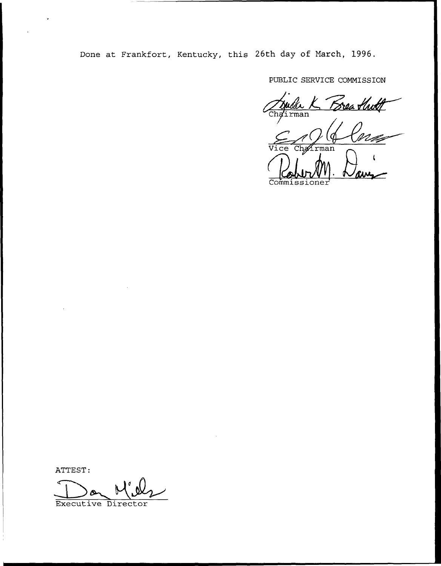Done at Frankfort, Kentucky, this 26th day of March, 1996.

PUBLIC SERVICE COMMISSION

<u>Srea Haith</u>  $\overline{\mathtt{man}}$  $r$ man ce Commiss

ATTEST:

Executive Director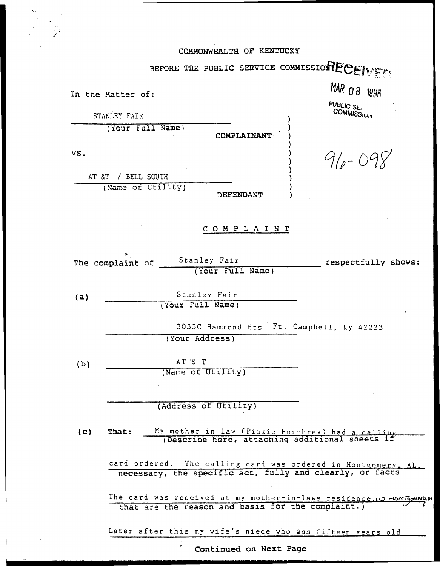|                   |                   | COMMONWEALTH OF KENTUCKY |                                                                      |
|-------------------|-------------------|--------------------------|----------------------------------------------------------------------|
|                   |                   |                          | BEFORE THE PUBLIC SERVICE COMMISSIONECEIVER                          |
|                   |                   |                          |                                                                      |
| In the Matter of: |                   |                          | <b>MAR 08 1996</b>                                                   |
| STANLEY FAIR      |                   |                          | PUBLIC SEI<br>COMMISSIUN                                             |
|                   | (Your Full Name)  | COMPLAINANT              |                                                                      |
| VS.               |                   |                          |                                                                      |
|                   |                   |                          | $96 - 00$                                                            |
| AT &T             | / BELL SOUTH      |                          |                                                                      |
|                   | (Name of Utility) | DEFENDANT                |                                                                      |
|                   |                   |                          |                                                                      |
|                   |                   | COMPLAINT                |                                                                      |
|                   |                   |                          |                                                                      |
| The complaint of  |                   | Stanley Fair             | respectfully shows:                                                  |
|                   |                   | (Your Full Name)         |                                                                      |
| (a)               |                   | Stanley Fair             |                                                                      |
|                   | (Your Full Name)  |                          |                                                                      |
|                   |                   |                          | 3033C Hammond Hts Ft. Campbell, Ky 42223                             |
|                   |                   | (Your Address)           |                                                                      |
| (b)               | AT & T            |                          |                                                                      |
|                   | (Name of Utility) |                          |                                                                      |
|                   |                   |                          |                                                                      |
|                   |                   | (Address of Utility)     |                                                                      |
| (C)<br>That:      |                   |                          | My mother-in-law (Pinkie Humphrev) had a calling                     |
|                   |                   |                          | (Describe here, attaching additional sheets if                       |
|                   |                   |                          | card ordered. The calling card was ordered in Montgomery, AL.        |
|                   |                   |                          | necessary, the specific act, fully and clearly, or facts             |
|                   |                   |                          | The card was received at my mother-in-laws residence. 10 Hontgourged |
|                   |                   |                          | that are the reason and basis for the complaint.)                    |
|                   |                   |                          | Later after this my wife's niece who was fifteen years old           |
|                   |                   | Continued on Next Page   |                                                                      |

 $\overline{\phantom{a}}$  . A maximum of  $\overline{\phantom{a}}$ 

 $\overline{\phantom{a}}$ 

 $\overline{\phantom{a}}$ 

・ たなり 基 マビ ロール けいえきせい せついきかんき ロミア ていしょうこうか

Continued on Next Page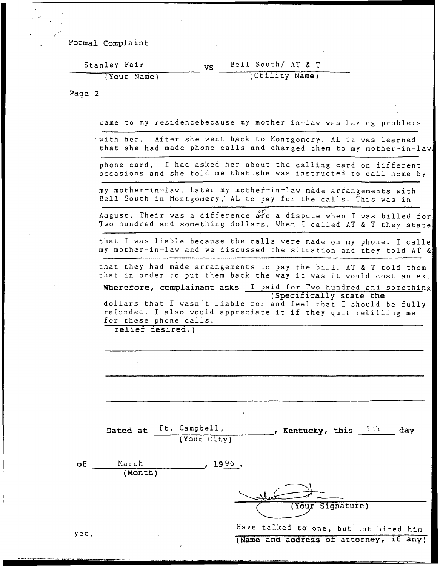Formal Complaint

| Stanley Fair | Bell South/ AT & T |
|--------------|--------------------|
| (Your Name)  | (Utility Name)     |

Page 2

 $\ddot{\phantom{a}}$ 

|                 |                                                                                                                                                                                                             | came to my residencebecause my mother-in-law was having problems |             |                  |      |     |
|-----------------|-------------------------------------------------------------------------------------------------------------------------------------------------------------------------------------------------------------|------------------------------------------------------------------|-------------|------------------|------|-----|
|                 | with her. After she went back to Montgomery, AL it was learned<br>that she had made phone calls and charged them to my mother-in-law.                                                                       |                                                                  |             |                  |      |     |
|                 | phone card. I had asked her about the calling card on different<br>occasions and she told me that she was instructed to call home by                                                                        |                                                                  |             |                  |      |     |
|                 | my mother-in-law. Later my mother-in-law made arrangements with<br>Bell South in Montgomery, AL to pay for the calls. This was in                                                                           |                                                                  |             |                  |      |     |
|                 | August. Their was a difference are a dispute when I was billed for<br>Two hundred and something dollars. When I called AT & T they state                                                                    |                                                                  |             |                  |      |     |
|                 | that I was liable because the calls were made on my phone. I calle<br>my mother-in-law and we discussed the situation and they told AT &                                                                    |                                                                  |             |                  |      |     |
|                 | that they had made arrangements to pay the bill. AT & T told them<br>that in order to put them back the way it was it would cost an ext<br>Wherefore, complainant asks I paid for Two hundred and something |                                                                  |             |                  |      |     |
|                 | dollars that I wasn't liable for and feel that I should be fully<br>refunded. I also would appreciate it if they quit rebilling me<br>for these phone calls.<br>relief desired.)                            |                                                                  |             |                  |      |     |
|                 |                                                                                                                                                                                                             |                                                                  |             |                  |      |     |
|                 |                                                                                                                                                                                                             |                                                                  |             |                  |      |     |
| Dated at        | Ft. Campbell,<br>(Your City)                                                                                                                                                                                |                                                                  | , Kentucky, |                  | 5th. | day |
| March<br>(Mont) | $\,$ , 1996.                                                                                                                                                                                                |                                                                  |             |                  |      |     |
|                 |                                                                                                                                                                                                             |                                                                  |             | (Your Signature) |      |     |